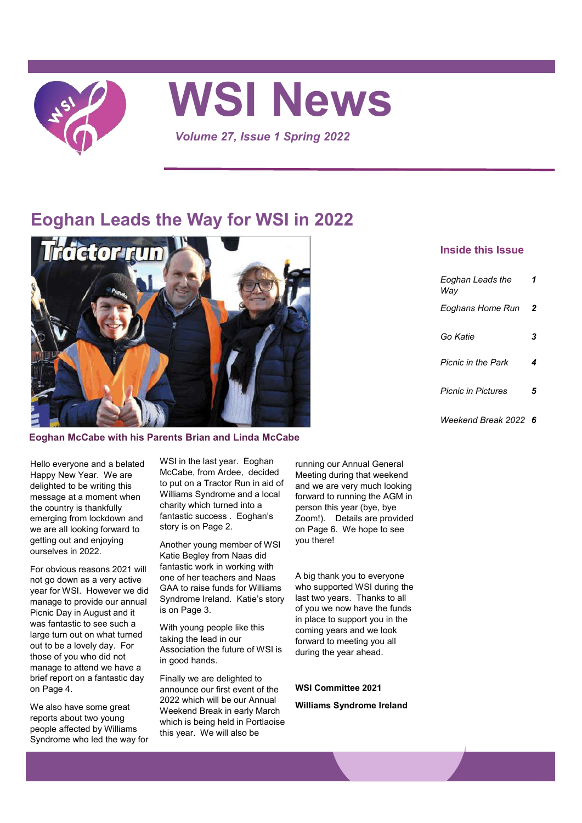

# **WSI News**

*Volume 27, Issue 1 Spring 2022*

# **Eoghan Leads the Way for WSI in 2022**



### **Eoghan McCabe with his Parents Brian and Linda McCabe**

#### Hello everyone and a belated Happy New Year. We are delighted to be writing this message at a moment when the country is thankfully emerging from lockdown and we are all looking forward to getting out and enjoying ourselves in 2022.

For obvious reasons 2021 will not go down as a very active year for WSI. However we did manage to provide our annual Picnic Day in August and it was fantastic to see such a large turn out on what turned out to be a lovely day. For those of you who did not manage to attend we have a brief report on a fantastic day on Page 4.

We also have some great reports about two young people affected by Williams Syndrome who led the way for WSI in the last year. Eoghan McCabe, from Ardee, decided to put on a Tractor Run in aid of Williams Syndrome and a local charity which turned into a fantastic success . Eoghan's story is on Page 2.

Another young member of WSI Katie Begley from Naas did fantastic work in working with one of her teachers and Naas GAA to raise funds for Williams Syndrome Ireland. Katie's story is on Page 3.

With young people like this taking the lead in our Association the future of WSI is in good hands.

Finally we are delighted to announce our first event of the 2022 which will be our Annual Weekend Break in early March which is being held in Portlaoise this year. We will also be

running our Annual General Meeting during that weekend and we are very much looking forward to running the AGM in person this year (bye, bye Zoom!). Details are provided on Page 6. We hope to see you there!

A big thank you to everyone who supported WSI during the last two years. Thanks to all of you we now have the funds in place to support you in the coming years and we look forward to meeting you all during the year ahead.

#### **WSI Committee 2021**

**Williams Syndrome Ireland**

## **Inside this Issue**

| Eoghan Leads the<br>Wav   | 1 |
|---------------------------|---|
| Eoghans Home Run          | 2 |
| Go Katie                  | 3 |
| <b>Picnic in the Park</b> | 4 |
| <b>Picnic in Pictures</b> | 5 |
| Weekend Break 2022        | 6 |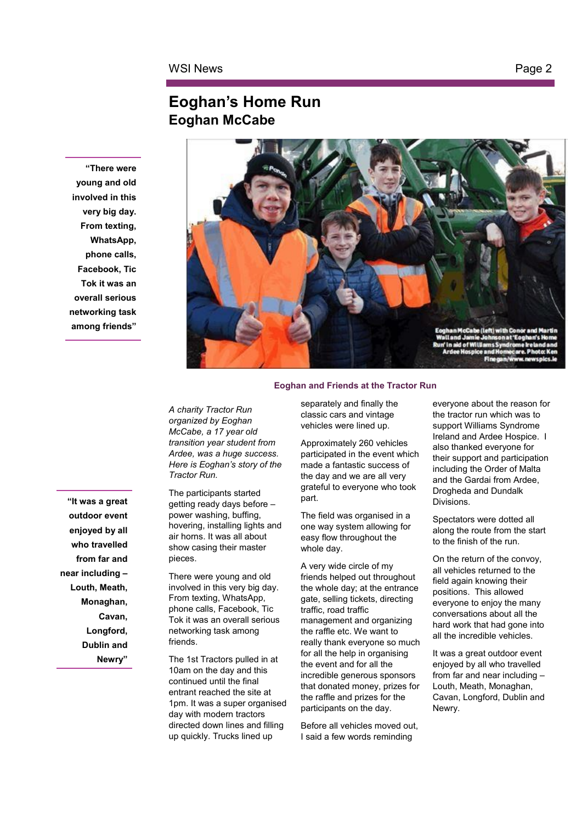## **Eoghan's Home Run Eoghan McCabe**

**"There were young and old involved in this very big day. From texting, WhatsApp, phone calls, Facebook, Tic Tok it was an overall serious networking task among friends"**



*A charity Tractor Run organized by Eoghan McCabe, a 17 year old transition year student from Ardee, was a huge success. Here is Eoghan's story of the Tractor Run.*

The participants started getting ready days before – power washing, buffing, hovering, installing lights and air horns. It was all about show casing their master pieces.

There were young and old involved in this very big day. From texting, WhatsApp, phone calls, Facebook, Tic Tok it was an overall serious networking task among friends.

The 1st Tractors pulled in at 10am on the day and this continued until the final entrant reached the site at 1pm. It was a super organised day with modern tractors directed down lines and filling up quickly. Trucks lined up

#### separately and finally the classic cars and vintage vehicles were lined up.

Approximately 260 vehicles participated in the event which made a fantastic success of the day and we are all very grateful to everyone who took part.

The field was organised in a one way system allowing for easy flow throughout the whole day.

A very wide circle of my friends helped out throughout the whole day; at the entrance gate, selling tickets, directing traffic, road traffic management and organizing the raffle etc. We want to really thank everyone so much for all the help in organising the event and for all the incredible generous sponsors that donated money, prizes for the raffle and prizes for the participants on the day.

Before all vehicles moved out, I said a few words reminding

everyone about the reason for the tractor run which was to support Williams Syndrome Ireland and Ardee Hospice. I also thanked everyone for their support and participation including the Order of Malta and the Gardai from Ardee, Drogheda and Dundalk Divisions.

Spectators were dotted all along the route from the start to the finish of the run.

On the return of the convoy, all vehicles returned to the field again knowing their positions. This allowed everyone to enjoy the many conversations about all the hard work that had gone into all the incredible vehicles.

It was a great outdoor event enjoyed by all who travelled from far and near including – Louth, Meath, Monaghan, Cavan, Longford, Dublin and Newry.

**"It was a great outdoor event enjoyed by all who travelled from far and near including – Louth, Meath, Monaghan, Cavan, Longford, Dublin and Newry"**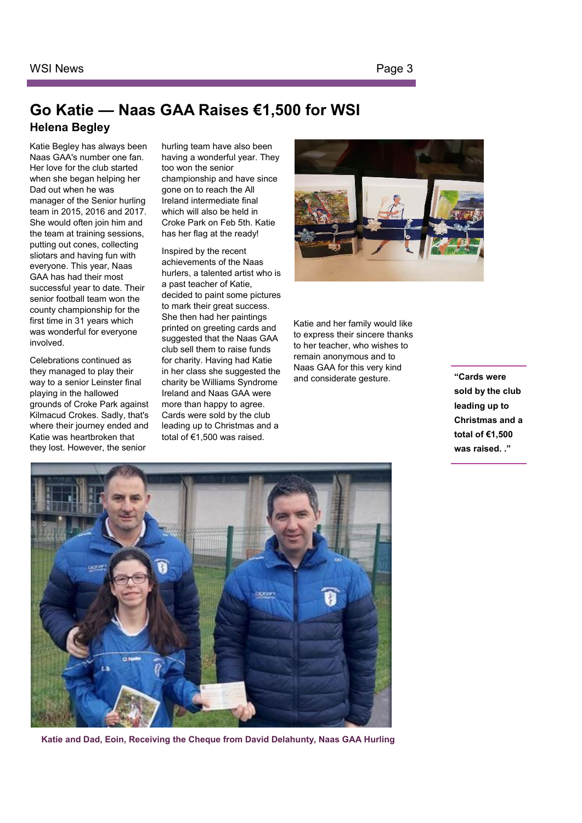## **Go Katie — Naas GAA Raises €1,500 for WSI Helena Begley**

Katie Begley has always been Naas GAA's number one fan. Her love for the club started when she began helping her Dad out when he was manager of the Senior hurling team in 2015, 2016 and 2017. She would often join him and the team at training sessions, putting out cones, collecting sliotars and having fun with everyone. This year, Naas GAA has had their most successful year to date. Their senior football team won the county championship for the first time in 31 years which was wonderful for everyone involved.

Celebrations continued as they managed to play their way to a senior Leinster final playing in the hallowed grounds of Croke Park against Kilmacud Crokes. Sadly, that's where their journey ended and Katie was heartbroken that they lost. However, the senior

hurling team have also been having a wonderful year. They too won the senior championship and have since gone on to reach the All Ireland intermediate final which will also be held in Croke Park on Feb 5th. Katie has her flag at the ready!

Inspired by the recent achievements of the Naas hurlers, a talented artist who is a past teacher of Katie, decided to paint some pictures to mark their great success. She then had her paintings printed on greeting cards and suggested that the Naas GAA club sell them to raise funds for charity. Having had Katie in her class she suggested the charity be Williams Syndrome Ireland and Naas GAA were more than happy to agree. Cards were sold by the club leading up to Christmas and a total of €1,500 was raised.



Katie and her family would like to express their sincere thanks to her teacher, who wishes to remain anonymous and to Naas GAA for this very kind and considerate gesture.

**"Cards were sold by the club leading up to Christmas and a total of €1,500 was raised. ."** 



**Katie and Dad, Eoin, Receiving the Cheque from David Delahunty, Naas GAA Hurling**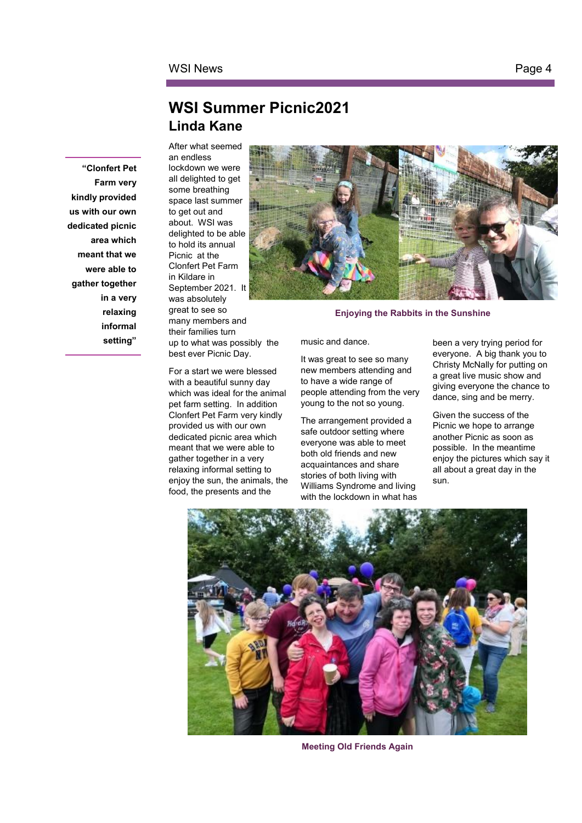## **WSI Summer Picnic2021 Linda Kane**

**"Clonfert Pet Farm very kindly provided us with our own dedicated picnic area which meant that we were able to gather together in a very relaxing informal setting"**

After what seemed an endless lockdown we were all delighted to get some breathing space last summer to get out and about. WSI was delighted to be able to hold its annual Picnic at the Clonfert Pet Farm in Kildare in September 2021. It was absolutely great to see so many members and their families turn up to what was possibly the best ever Picnic Day.

For a start we were blessed with a beautiful sunny day which was ideal for the animal pet farm setting. In addition Clonfert Pet Farm very kindly provided us with our own dedicated picnic area which meant that we were able to gather together in a very relaxing informal setting to enjoy the sun, the animals, the food, the presents and the



**Enjoying the Rabbits in the Sunshine** 

music and dance.

It was great to see so many new members attending and to have a wide range of people attending from the very young to the not so young.

The arrangement provided a safe outdoor setting where everyone was able to meet both old friends and new acquaintances and share stories of both living with Williams Syndrome and living with the lockdown in what has been a very trying period for everyone. A big thank you to Christy McNally for putting on a great live music show and giving everyone the chance to dance, sing and be merry.

Given the success of the Picnic we hope to arrange another Picnic as soon as possible. In the meantime enjoy the pictures which say it all about a great day in the sun.



**Meeting Old Friends Again**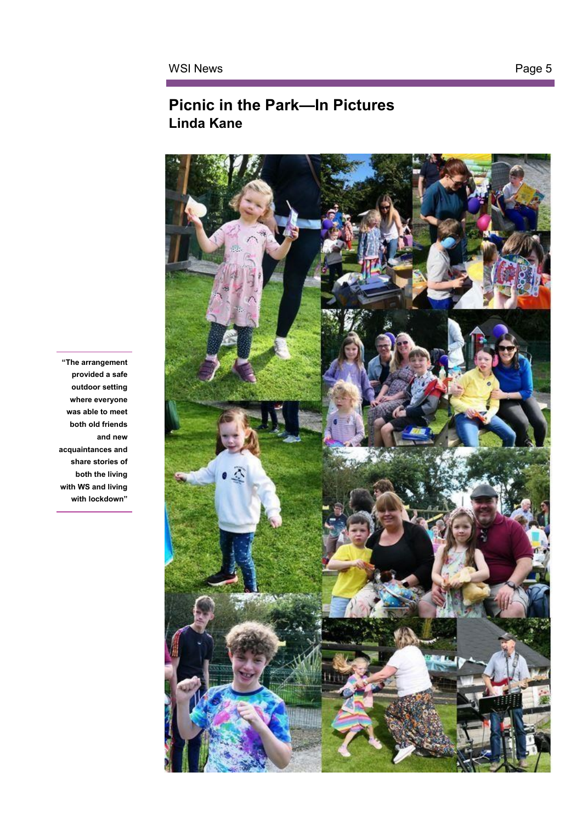# **Picnic in the Park—In Pictures Linda Kane**



**"The arrangement provided a safe outdoor setting where everyone was able to meet both old friends and new acquaintances and share stories of both the living with WS and living with lockdown"**